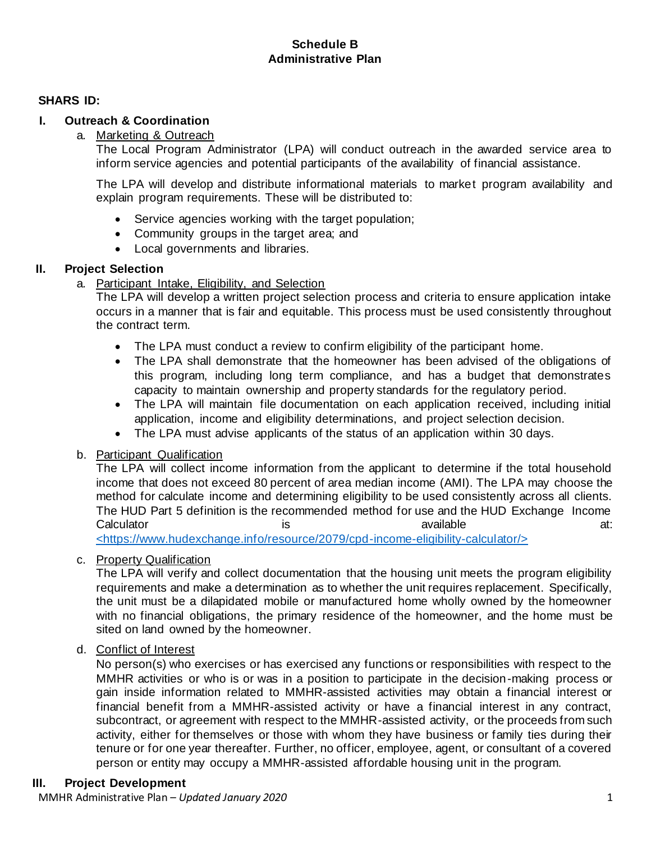# **Schedule B Administrative Plan**

## **SHARS ID:**

# **I. Outreach & Coordination**

## a. Marketing & Outreach

The Local Program Administrator (LPA) will conduct outreach in the awarded service area to inform service agencies and potential participants of the availability of financial assistance.

The LPA will develop and distribute informational materials to market program availability and explain program requirements. These will be distributed to:

- Service agencies working with the target population;
- Community groups in the target area; and
- Local governments and libraries.

## **II. Project Selection**

a. Participant Intake, Eligibility, and Selection

The LPA will develop a written project selection process and criteria to ensure application intake occurs in a manner that is fair and equitable. This process must be used consistently throughout the contract term.

- The LPA must conduct a review to confirm eligibility of the participant home.
- The LPA shall demonstrate that the homeowner has been advised of the obligations of this program, including long term compliance, and has a budget that demonstrates capacity to maintain ownership and property standards for the regulatory period.
- The LPA will maintain file documentation on each application received, including initial application, income and eligibility determinations, and project selection decision.
- The LPA must advise applicants of the status of an application within 30 days.

## b. Participant Qualification

The LPA will collect income information from the applicant to determine if the total household income that does not exceed 80 percent of area median income (AMI). The LPA may choose the method for calculate income and determining eligibility to be used consistently across all clients. The HUD Part 5 definition is the recommended method for use and the HUD Exchange Income Calculator is is available available at:

<https://www.hudexchange.info/resource/2079/cpd-income-eligibility-calculator/>

## c. Property Qualification

The LPA will verify and collect documentation that the housing unit meets the program eligibility requirements and make a determination as to whether the unit requires replacement. Specifically, the unit must be a dilapidated mobile or manufactured home wholly owned by the homeowner with no financial obligations, the primary residence of the homeowner, and the home must be sited on land owned by the homeowner.

## d. Conflict of Interest

No person(s) who exercises or has exercised any functions or responsibilities with respect to the MMHR activities or who is or was in a position to participate in the decision-making process or gain inside information related to MMHR-assisted activities may obtain a financial interest or financial benefit from a MMHR-assisted activity or have a financial interest in any contract, subcontract, or agreement with respect to the MMHR-assisted activity, or the proceeds from such activity, either for themselves or those with whom they have business or family ties during their tenure or for one year thereafter. Further, no officer, employee, agent, or consultant of a covered person or entity may occupy a MMHR-assisted affordable housing unit in the program.

## **III. Project Development**

MMHR Administrative Plan – *Updated January 2020* 1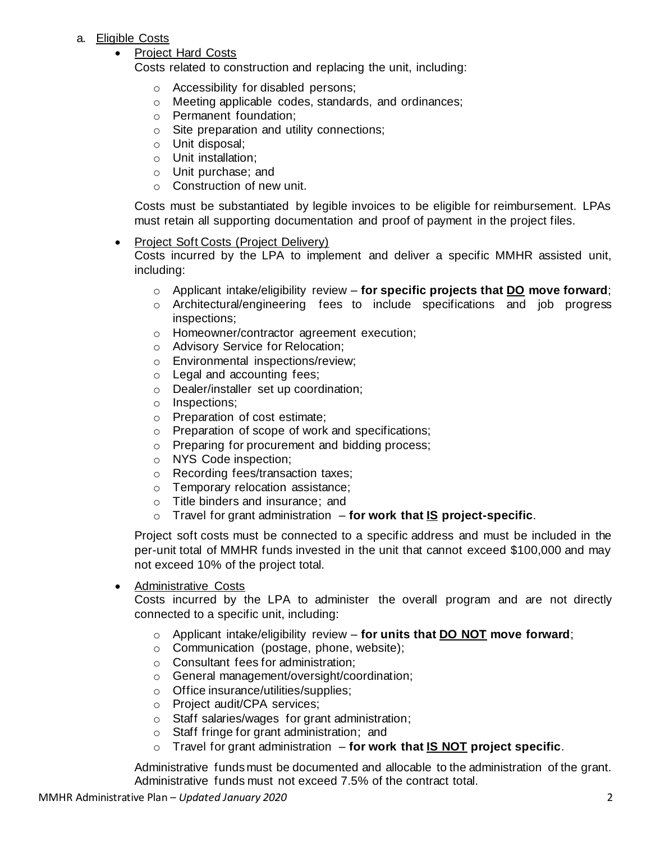## a. Eligible Costs

## • Project Hard Costs

Costs related to construction and replacing the unit, including:

- o Accessibility for disabled persons;
- o Meeting applicable codes, standards, and ordinances;
- o Permanent foundation;
- o Site preparation and utility connections;
- o Unit disposal;
- o Unit installation;
- o Unit purchase; and
- o Construction of new unit.

Costs must be substantiated by legible invoices to be eligible for reimbursement. LPAs must retain all supporting documentation and proof of payment in the project files.

### • Project Soft Costs (Project Delivery)

Costs incurred by the LPA to implement and deliver a specific MMHR assisted unit, including:

- o Applicant intake/eligibility review **for specific projects that DO move forward**;
- o Architectural/engineering fees to include specifications and job progress inspections;
- o Homeowner/contractor agreement execution;
- o Advisory Service for Relocation;
- o Environmental inspections/review;
- o Legal and accounting fees;
- o Dealer/installer set up coordination;
- o Inspections;
- o Preparation of cost estimate;
- o Preparation of scope of work and specifications;
- o Preparing for procurement and bidding process;
- o NYS Code inspection;
- o Recording fees/transaction taxes;
- o Temporary relocation assistance;
- o Title binders and insurance; and
- o Travel for grant administration **for work that IS project-specific**.

Project soft costs must be connected to a specific address and must be included in the per-unit total of MMHR funds invested in the unit that cannot exceed \$100,000 and may not exceed 10% of the project total.

#### • Administrative Costs

Costs incurred by the LPA to administer the overall program and are not directly connected to a specific unit, including:

- o Applicant intake/eligibility review **for units that DO NOT move forward**;
- o Communication (postage, phone, website);
- o Consultant fees for administration;
- o General management/oversight/coordination;
- o Office insurance/utilities/supplies;
- o Project audit/CPA services;
- o Staff salaries/wages for grant administration;
- o Staff fringe for grant administration; and
- o Travel for grant administration **for work that IS NOT project specific**.

Administrative funds must be documented and allocable to the administration of the grant. Administrative funds must not exceed 7.5% of the contract total.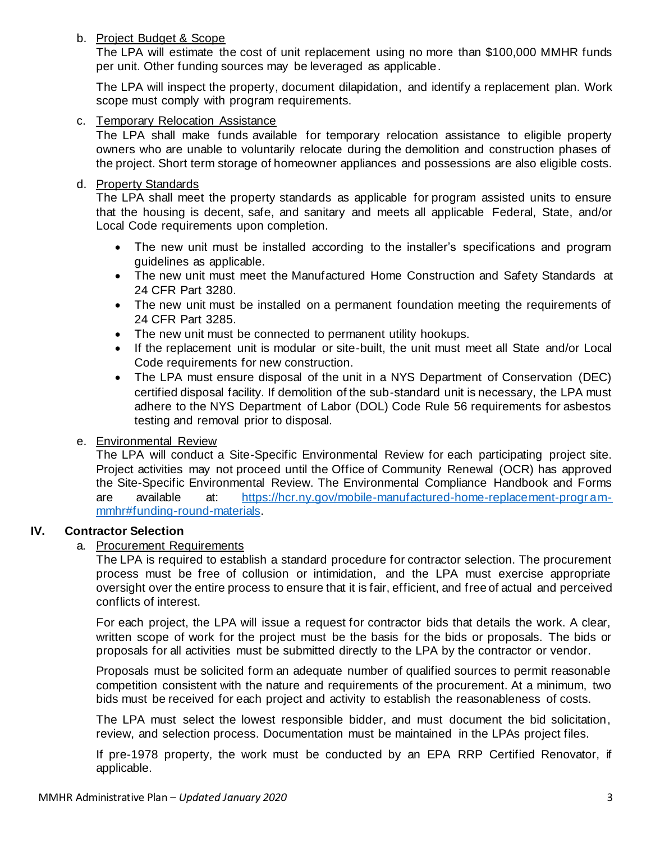## b. Project Budget & Scope

The LPA will estimate the cost of unit replacement using no more than \$100,000 MMHR funds per unit. Other funding sources may be leveraged as applicable.

The LPA will inspect the property, document dilapidation, and identify a replacement plan. Work scope must comply with program requirements.

### c. Temporary Relocation Assistance

The LPA shall make funds available for temporary relocation assistance to eligible property owners who are unable to voluntarily relocate during the demolition and construction phases of the project. Short term storage of homeowner appliances and possessions are also eligible costs.

## d. Property Standards

The LPA shall meet the property standards as applicable for program assisted units to ensure that the housing is decent, safe, and sanitary and meets all applicable Federal, State, and/or Local Code requirements upon completion.

- The new unit must be installed according to the installer's specifications and program guidelines as applicable.
- The new unit must meet the Manufactured Home Construction and Safety Standards at 24 CFR Part 3280.
- The new unit must be installed on a permanent foundation meeting the requirements of 24 CFR Part 3285.
- The new unit must be connected to permanent utility hookups.
- If the replacement unit is modular or site-built, the unit must meet all State and/or Local Code requirements for new construction.
- The LPA must ensure disposal of the unit in a NYS Department of Conservation (DEC) certified disposal facility. If demolition of the sub-standard unit is necessary, the LPA must adhere to the NYS Department of Labor (DOL) Code Rule 56 requirements for asbestos testing and removal prior to disposal.

## e. Environmental Review

The LPA will conduct a Site-Specific Environmental Review for each participating project site. Project activities may not proceed until the Office of Community Renewal (OCR) has approved the Site-Specific Environmental Review. The Environmental Compliance Handbook and Forms are available at: https://hcr.ny.gov/mobile-manufactured-home-replacement-program[mmhr#funding-round-materials.](https://hcr.ny.gov/mobile-manufactured-home-replacement-program-mmhr#funding-round-materials)

## **IV. Contractor Selection**

## a. Procurement Requirements

The LPA is required to establish a standard procedure for contractor selection. The procurement process must be free of collusion or intimidation, and the LPA must exercise appropriate oversight over the entire process to ensure that it is fair, efficient, and free of actual and perceived conflicts of interest.

For each project, the LPA will issue a request for contractor bids that details the work. A clear, written scope of work for the project must be the basis for the bids or proposals. The bids or proposals for all activities must be submitted directly to the LPA by the contractor or vendor.

Proposals must be solicited form an adequate number of qualified sources to permit reasonable competition consistent with the nature and requirements of the procurement. At a minimum, two bids must be received for each project and activity to establish the reasonableness of costs.

The LPA must select the lowest responsible bidder, and must document the bid solicitation, review, and selection process. Documentation must be maintained in the LPAs project files.

If pre-1978 property, the work must be conducted by an EPA RRP Certified Renovator, if applicable.